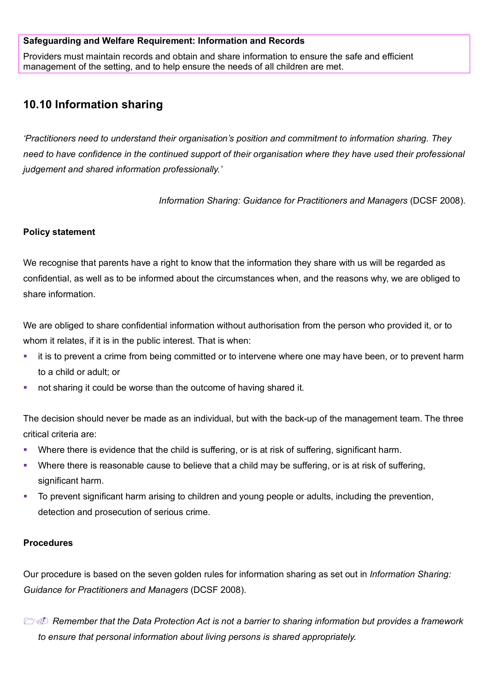### **Safeguarding and Welfare Requirement: Information and Records**

Providers must maintain records and obtain and share information to ensure the safe and efficient management of the setting, and to help ensure the needs of all children are met.

# **10.10 Information sharing**

*'Practitioners need to understand their organisation's position and commitment to information sharing. They need to have confidence in the continued support of their organisation where they have used their professional judgement and shared information professionally.'*

*Information Sharing: Guidance for Practitioners and Managers (DCSF 2008).* 

### **Policy statement**

We recognise that parents have a right to know that the information they share with us will be regarded as confidential, as well as to be informed about the circumstances when, and the reasons why, we are obliged to share information.

We are obliged to share confidential information without authorisation from the person who provided it, or to whom it relates, if it is in the public interest. That is when:

- **it is to prevent a crime from being committed or to intervene where one may have been, or to prevent harm** to a child or adult; or
- not sharing it could be worse than the outcome of having shared it.

The decision should never be made as an individual, but with the back-up of the management team. The three critical criteria are:

- Where there is evidence that the child is suffering, or is at risk of suffering, significant harm.
- Where there is reasonable cause to believe that a child may be suffering, or is at risk of suffering, significant harm.
- To prevent significant harm arising to children and young people or adults, including the prevention, detection and prosecution of serious crime.

#### **Procedures**

Our procedure is based on the seven golden rules for information sharing as set out in *Information Sharing: Guidance for Practitioners and Managers* (DCSF 2008).

 *Remember that the Data Protection Act is not a barrier to sharing information but provides a framework to ensure that personal information about living persons is shared appropriately.*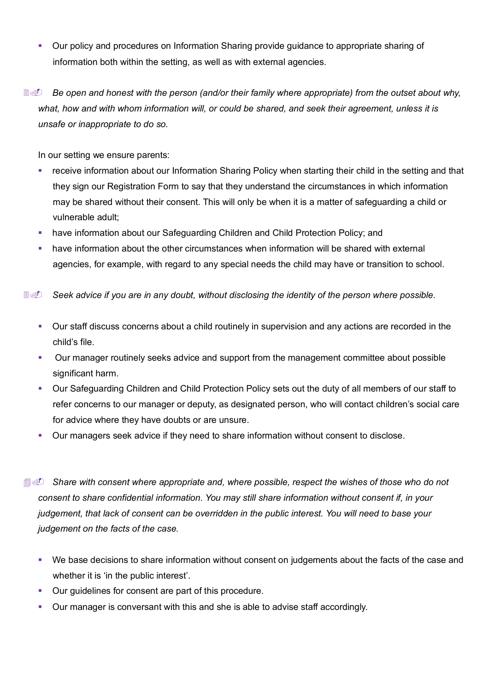- Our policy and procedures on Information Sharing provide guidance to appropriate sharing of information both within the setting, as well as with external agencies.
- **Be open and honest with the person (and/or their family where appropriate) from the outset about why,** *what, how and with whom information will, or could be shared, and seek their agreement, unless it is unsafe or inappropriate to do so.*

In our setting we ensure parents:

- receive information about our Information Sharing Policy when starting their child in the setting and that they sign our Registration Form to say that they understand the circumstances in which information may be shared without their consent. This will only be when it is a matter of safeguarding a child or vulnerable adult;
- have information about our Safeguarding Children and Child Protection Policy; and
- have information about the other circumstances when information will be shared with external agencies, for example, with regard to any special needs the child may have or transition to school.

**I** Seek advice if you are in any doubt, without disclosing the identity of the person where possible.

- Our staff discuss concerns about a child routinely in supervision and any actions are recorded in the child's file.
- Our manager routinely seeks advice and support from the management committee about possible significant harm.
- Our Safeguarding Children and Child Protection Policy sets out the duty of all members of our staff to refer concerns to our manager or deputy, as designated person, who will contact children's social care for advice where they have doubts or are unsure.
- Our managers seek advice if they need to share information without consent to disclose.

 *Share with consent where appropriate and, where possible, respect the wishes of those who do not consent to share confidential information. You may still share information without consent if, in your judgement, that lack of consent can be overridden in the public interest. You will need to base your judgement on the facts of the case.*

- We base decisions to share information without consent on judgements about the facts of the case and whether it is 'in the public interest'.
- Our guidelines for consent are part of this procedure.
- Our manager is conversant with this and she is able to advise staff accordingly.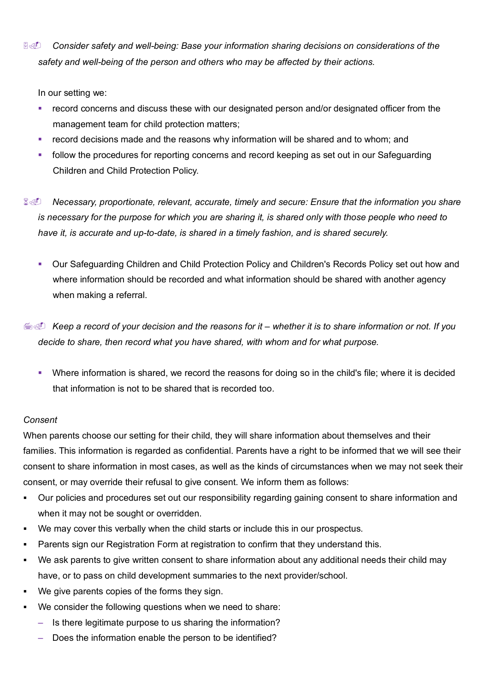*I***I** Consider safety and well-being: Base your information sharing decisions on considerations of the *safety and well-being of the person and others who may be affected by their actions.*

In our setting we:

- record concerns and discuss these with our designated person and/or designated officer from the management team for child protection matters;
- **•** record decisions made and the reasons why information will be shared and to whom; and
- follow the procedures for reporting concerns and record keeping as set out in our Safeguarding Children and Child Protection Policy.
- *Necessary, proportionate, relevant, accurate, timely and secure: Ensure that the information you share is necessary for the purpose for which you are sharing it, is shared only with those people who need to have it, is accurate and up-to-date, is shared in a timely fashion, and is shared securely.*
	- Our Safeguarding Children and Child Protection Policy and Children's Records Policy set out how and where information should be recorded and what information should be shared with another agency when making a referral.
- *Keep a record of your decision and the reasons for it – whether it is to share information or not. If you decide to share, then record what you have shared, with whom and for what purpose.*
	- Where information is shared, we record the reasons for doing so in the child's file; where it is decided that information is not to be shared that is recorded too.

## *Consent*

When parents choose our setting for their child, they will share information about themselves and their families. This information is regarded as confidential. Parents have a right to be informed that we will see their consent to share information in most cases, as well as the kinds of circumstances when we may not seek their consent, or may override their refusal to give consent. We inform them as follows:

- Our policies and procedures set out our responsibility regarding gaining consent to share information and when it may not be sought or overridden.
- We may cover this verbally when the child starts or include this in our prospectus.
- Parents sign our Registration Form at registration to confirm that they understand this.
- We ask parents to give written consent to share information about any additional needs their child may have, or to pass on child development summaries to the next provider/school.
- We give parents copies of the forms they sign.
- We consider the following questions when we need to share:
	- Is there legitimate purpose to us sharing the information?
	- Does the information enable the person to be identified?